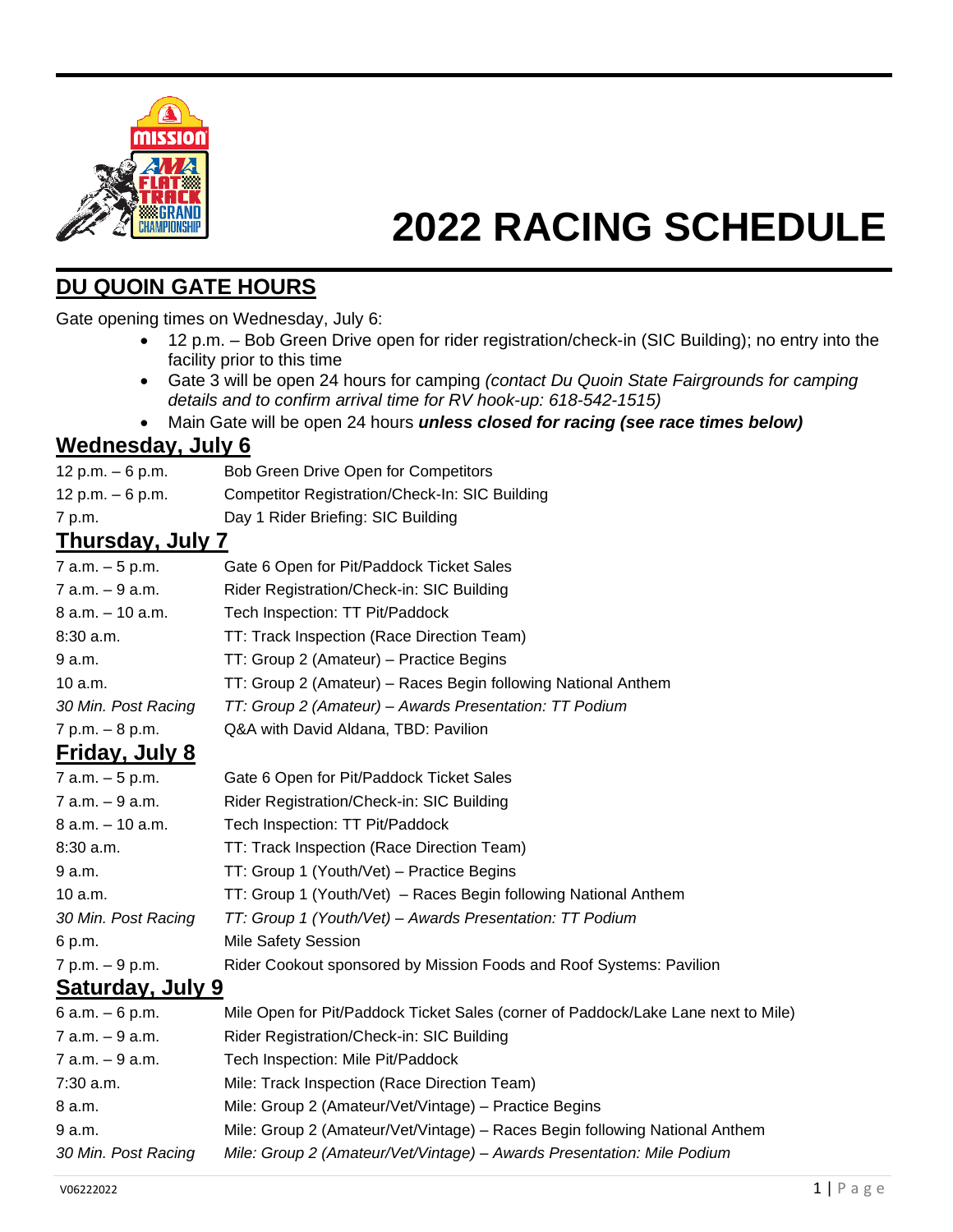

# **2022 RACING SCHEDULE**

## **DU QUOIN GATE HOURS**

Gate opening times on Wednesday, July 6:

- 12 p.m. Bob Green Drive open for rider registration/check-in (SIC Building); no entry into the facility prior to this time
- Gate 3 will be open 24 hours for camping *(contact Du Quoin State Fairgrounds for camping details and to confirm arrival time for RV hook-up: 618-542-1515)*
- Main Gate will be open 24 hours *unless closed for racing (see race times below)*

#### **Wednesday, July 6**

- 12 p.m. 6 p.m. Bob Green Drive Open for Competitors
- 12 p.m. 6 p.m. Competitor Registration/Check-In: SIC Building
- 7 p.m. Day 1 Rider Briefing: SIC Building

#### **Thursday, July 7**

| 7 a.m. – 5 p.m.     | Gate 6 Open for Pit/Paddock Ticket Sales                      |
|---------------------|---------------------------------------------------------------|
| 7 a.m. – 9 a.m.     | Rider Registration/Check-in: SIC Building                     |
| 8 a.m. – 10 a.m.    | Tech Inspection: TT Pit/Paddock                               |
| 8:30 a.m.           | TT: Track Inspection (Race Direction Team)                    |
| 9 a.m.              | TT: Group 2 (Amateur) – Practice Begins                       |
| 10 a.m.             | TT: Group 2 (Amateur) – Races Begin following National Anthem |
| 30 Min. Post Racing | TT: Group 2 (Amateur) - Awards Presentation: TT Podium        |
| 7 p.m. – 8 p.m.     | Q&A with David Aldana, TBD: Pavilion                          |
| Friday luly 8       |                                                               |

## **Friday, July 8**

| 7 a.m. - 5 p.m.     | Gate 6 Open for Pit/Paddock Ticket Sales                            |
|---------------------|---------------------------------------------------------------------|
| 7 a.m. – 9 a.m.     | Rider Registration/Check-in: SIC Building                           |
| 8 a.m. - 10 a.m.    | Tech Inspection: TT Pit/Paddock                                     |
| $8:30$ a.m.         | TT: Track Inspection (Race Direction Team)                          |
| 9 a.m.              | TT: Group 1 (Youth/Vet) – Practice Begins                           |
| 10a.m.              | TT: Group 1 (Youth/Vet) - Races Begin following National Anthem     |
| 30 Min. Post Racing | TT: Group 1 (Youth/Vet) - Awards Presentation: TT Podium            |
| 6 p.m.              | <b>Mile Safety Session</b>                                          |
| 7 p.m. - 9 p.m.     | Rider Cookout sponsored by Mission Foods and Roof Systems: Pavilion |
|                     |                                                                     |

#### **Saturday, July 9**

| 6 a.m. – 6 p.m.     | Mile Open for Pit/Paddock Ticket Sales (corner of Paddock/Lake Lane next to Mile) |
|---------------------|-----------------------------------------------------------------------------------|
| 7 a.m. – 9 a.m.     | Rider Registration/Check-in: SIC Building                                         |
| 7 a.m. – 9 a.m.     | Tech Inspection: Mile Pit/Paddock                                                 |
| 7:30 a.m.           | Mile: Track Inspection (Race Direction Team)                                      |
| 8 a.m.              | Mile: Group 2 (Amateur/Vet/Vintage) - Practice Begins                             |
| 9 a.m.              | Mile: Group 2 (Amateur/Vet/Vintage) – Races Begin following National Anthem       |
| 30 Min. Post Racing | Mile: Group 2 (Amateur/Vet/Vintage) - Awards Presentation: Mile Podium            |